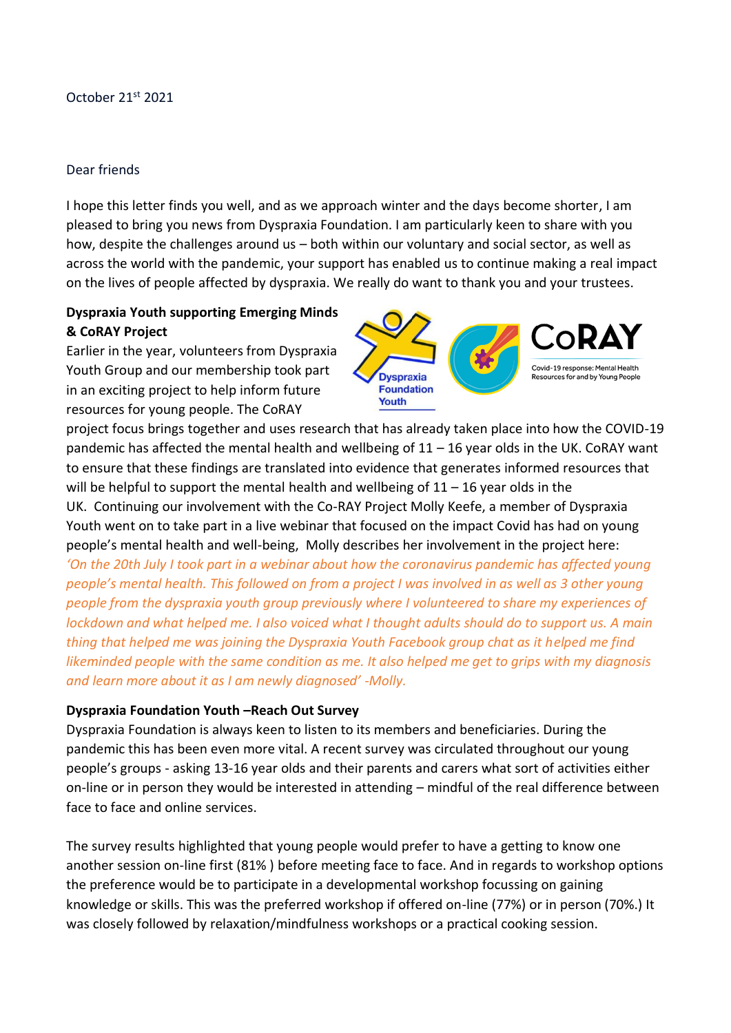#### October 21st 2021

#### Dear friends

I hope this letter finds you well, and as we approach winter and the days become shorter, I am pleased to bring you news from Dyspraxia Foundation. I am particularly keen to share with you how, despite the challenges around us – both within our voluntary and social sector, as well as across the world with the pandemic, your support has enabled us to continue making a real impact on the lives of people affected by dyspraxia. We really do want to thank you and your trustees.

## **Dyspraxia Youth supporting Emerging Minds & CoRAY Project**

Earlier in the year, volunteers from Dyspraxia Youth Group and our membership took part in an exciting project to help inform future resources for young people. The CoRAY



project focus brings together and uses research that has already taken place into how the COVID-19 pandemic has affected the mental health and wellbeing of 11 – 16 year olds in the UK. CoRAY want to ensure that these findings are translated into evidence that generates informed resources that will be helpful to support the mental health and wellbeing of  $11 - 16$  year olds in the UK. Continuing our involvement with the Co-RAY Project Molly Keefe, a member of Dyspraxia Youth went on to take part in a live webinar that focused on the impact Covid has had on young people's mental health and well-being, Molly describes her involvement in the project here: *'On the 20th July I took part in a webinar about how the coronavirus pandemic has affected young people's mental health. This followed on from a project I was involved in as well as 3 other young people from the dyspraxia youth group previously where I volunteered to share my experiences of* 

*lockdown and what helped me. I also voiced what I thought adults should do to support us. A main thing that helped me was joining the Dyspraxia Youth Facebook group chat as it helped me find likeminded people with the same condition as me. It also helped me get to grips with my diagnosis and learn more about it as I am newly diagnosed' -Molly.*

#### **Dyspraxia Foundation Youth –Reach Out Survey**

Dyspraxia Foundation is always keen to listen to its members and beneficiaries. During the pandemic this has been even more vital. A recent survey was circulated throughout our young people's groups - asking 13-16 year olds and their parents and carers what sort of activities either on-line or in person they would be interested in attending – mindful of the real difference between face to face and online services.

The survey results highlighted that young people would prefer to have a getting to know one another session on-line first (81% ) before meeting face to face. And in regards to workshop options the preference would be to participate in a developmental workshop focussing on gaining knowledge or skills. This was the preferred workshop if offered on-line (77%) or in person (70%.) It was closely followed by relaxation/mindfulness workshops or a practical cooking session.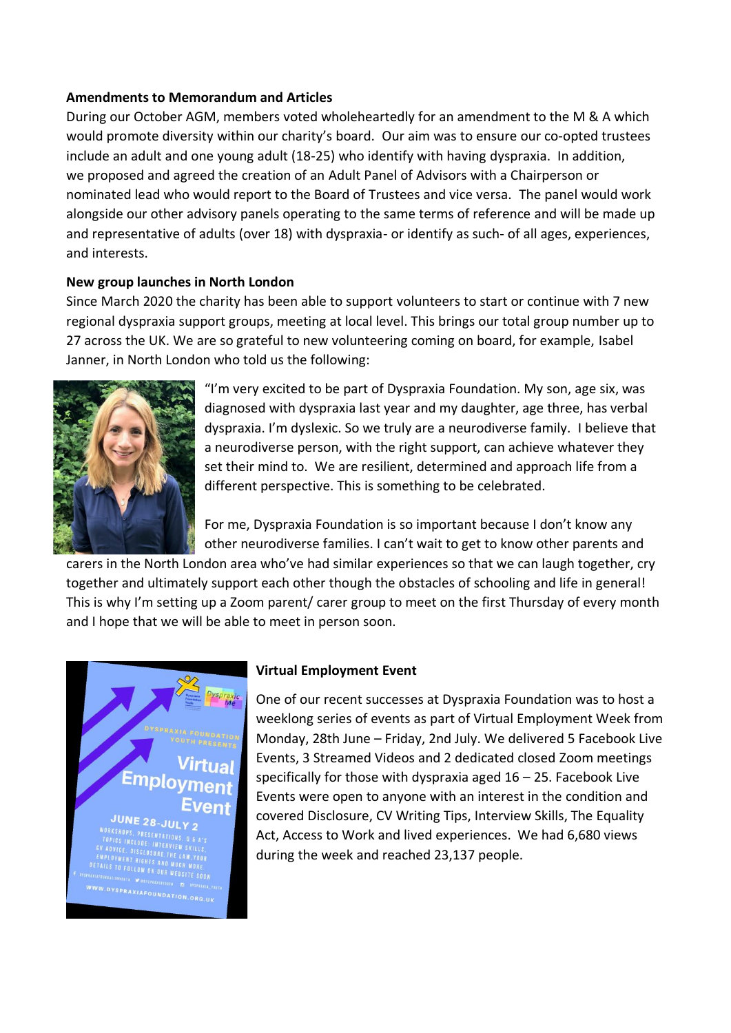#### **Amendments to Memorandum and Articles**

During our October AGM, members voted wholeheartedly for an amendment to the M & A which would promote diversity within our charity's board. Our aim was to ensure our co-opted trustees include an adult and one young adult (18-25) who identify with having dyspraxia. In addition, we proposed and agreed the creation of an Adult Panel of Advisors with a Chairperson or nominated lead who would report to the Board of Trustees and vice versa. The panel would work alongside our other advisory panels operating to the same terms of reference and will be made up and representative of adults (over 18) with dyspraxia- or identify as such- of all ages, experiences, and interests.

## **New group launches in North London**

Since March 2020 the charity has been able to support volunteers to start or continue with 7 new regional dyspraxia support groups, meeting at local level. This brings our total group number up to 27 across the UK. We are so grateful to new volunteering coming on board, for example, Isabel Janner, in North London who told us the following:



"I'm very excited to be part of Dyspraxia Foundation. My son, age six, was diagnosed with dyspraxia last year and my daughter, age three, has verbal dyspraxia. I'm dyslexic. So we truly are a neurodiverse family. I believe that a neurodiverse person, with the right support, can achieve whatever they set their mind to. We are resilient, determined and approach life from a different perspective. This is something to be celebrated.

For me, Dyspraxia Foundation is so important because I don't know any other neurodiverse families. I can't wait to get to know other parents and

carers in the North London area who've had similar experiences so that we can laugh together, cry together and ultimately support each other though the obstacles of schooling and life in general! This is why I'm setting up a Zoom parent/ carer group to meet on the first Thursday of every month and I hope that we will be able to meet in person soon.



## **Virtual Employment Event**

One of our recent successes at Dyspraxia Foundation was to host a weeklong series of events as part of Virtual Employment Week from Monday, 28th June – Friday, 2nd July. We delivered 5 Facebook Live Events, 3 Streamed Videos and 2 dedicated closed Zoom meetings specifically for those with dyspraxia aged 16 – 25. Facebook Live Events were open to anyone with an interest in the condition and covered Disclosure, CV Writing Tips, Interview Skills, The Equality Act, Access to Work and lived experiences. We had 6,680 views during the week and reached 23,137 people.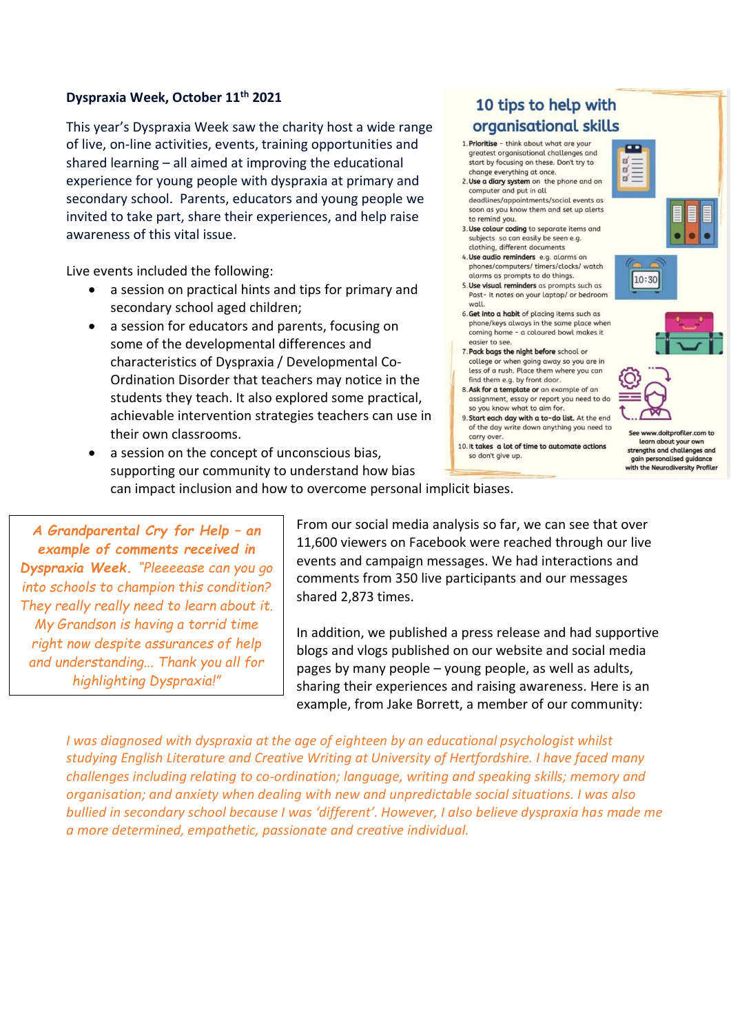#### **Dyspraxia Week, October 11th 2021**

This year's Dyspraxia Week saw the charity host a wide range of live, on-line activities, events, training opportunities and shared learning – all aimed at improving the educational experience for young people with dyspraxia at primary and secondary school. Parents, educators and young people we invited to take part, share their experiences, and help raise awareness of this vital issue.

Live events included the following:

- a session on practical hints and tips for primary and secondary school aged children;
- a session for educators and parents, focusing on some of the developmental differences and characteristics of Dyspraxia / Developmental Co-Ordination Disorder that teachers may notice in the students they teach. It also explored some practical, achievable intervention strategies teachers can use in their own classrooms.

# 10 tips to help with organisational skills

- 1. Prioritise think about what are your greatest organisational challenges and start by focusing on these. Don't try to change everything at once.
- 2. Use a diary system on the phone and on computer and put in all
- deadlines/appointments/social events as soon as you know them and set up alerts to remind you.
- 3. Use colour coding to separate items and subjects so can easily be seen e.g. clothing, different documents
- 4. Use audio reminders e.g. alarms on phones/computers/timers/clocks/watch alarms as prompts to do things.
- 5. Use visual reminders as prompts such as Post- It notes on your laptop/ or bedroom wall.
- 6. Get into a habit of placing items such as phone/keys always in the same place when coming home - a coloured bowl makes it easier to see.
- 7. Pack bags the night before school or college or when going away so you are in less of a rush. Place them where you can find them e.g. by front door.
- 8. Ask for a template or an example of an assignment, essay or report you need to do so you know what to aim for.
- 9. Start each day with a to-do list. At the end of the day write down anything you need to carry over
- 10. It takes a lot of time to automate actions so don't give up.







 $\mathbf{r}$ 

 $\mathbf{a}$  $\mathbf{p}$ 

> ww.doitprofiler.com to learn about your own strengths and challenges and gain personalised quide ance with the Neurodiversity Profiler

a session on the concept of unconscious bias. supporting our community to understand how bias can impact inclusion and how to overcome personal implicit biases.

*A Grandparental Cry for Help – an example of comments received in Dyspraxia Week. "Pleeeease can you go into schools to champion this condition? They really really need to learn about it. My Grandson is having a torrid time right now despite assurances of help and understanding... Thank you all for highlighting Dyspraxia!"*

From our social media analysis so far, we can see that over 11,600 viewers on Facebook were reached through our live events and campaign messages. We had interactions and comments from 350 live participants and our messages shared 2,873 times.

In addition, we published a press release and had supportive blogs and vlogs published on our website and social media pages by many people – young people, as well as adults, sharing their experiences and raising awareness. Here is an example, from Jake Borrett, a member of our community:

*I was diagnosed with dyspraxia at the age of eighteen by an educational psychologist whilst studying English Literature and Creative Writing at University of Hertfordshire. I have faced many challenges including relating to co-ordination; language, writing and speaking skills; memory and organisation; and anxiety when dealing with new and unpredictable social situations. I was also bullied in secondary school because I was 'different'. However, I also believe dyspraxia has made me a more determined, empathetic, passionate and creative individual.*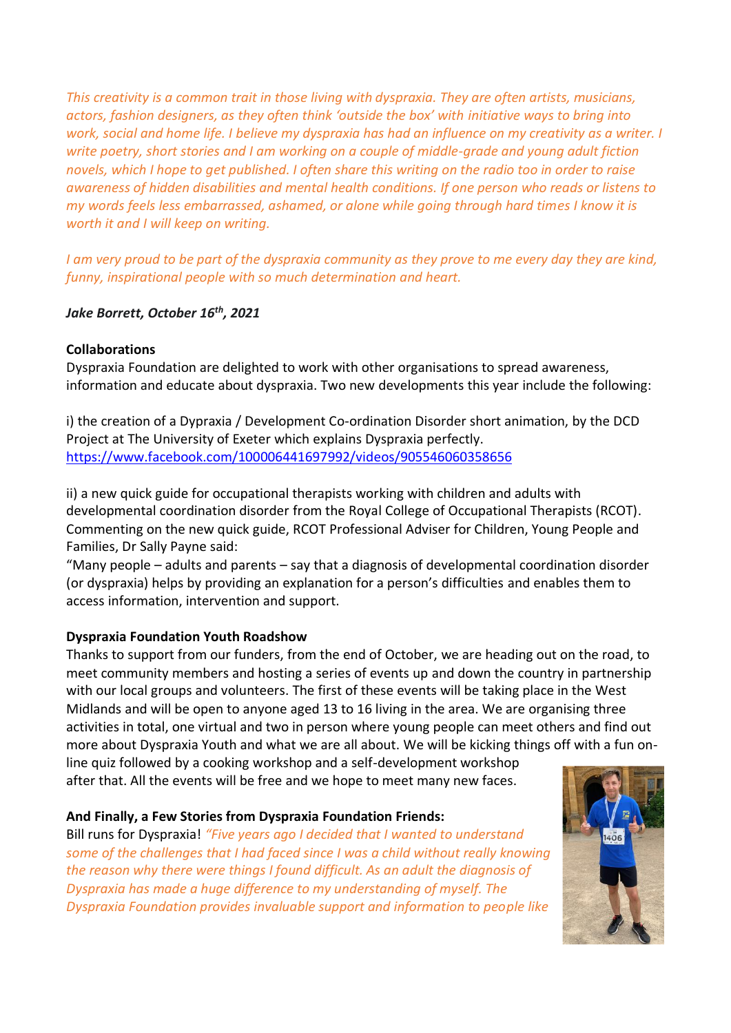*This creativity is a common trait in those living with dyspraxia. They are often artists, musicians, actors, fashion designers, as they often think 'outside the box' with initiative ways to bring into work, social and home life. I believe my dyspraxia has had an influence on my creativity as a writer. I write poetry, short stories and I am working on a couple of middle-grade and young adult fiction novels, which I hope to get published. I often share this writing on the radio too in order to raise awareness of hidden disabilities and mental health conditions. If one person who reads or listens to my words feels less embarrassed, ashamed, or alone while going through hard times I know it is worth it and I will keep on writing.*

*I am very proud to be part of the dyspraxia community as they prove to me every day they are kind, funny, inspirational people with so much determination and heart.*

## *Jake Borrett, October 16th, 2021*

#### **Collaborations**

Dyspraxia Foundation are delighted to work with other organisations to spread awareness, information and educate about dyspraxia. Two new developments this year include the following:

i) the creation of a Dypraxia / Development Co-ordination Disorder short animation, by the DCD Project at The University of Exeter which explains Dyspraxia perfectly. <https://www.facebook.com/100006441697992/videos/905546060358656>

ii) a new quick guide for occupational therapists working with children and adults with developmental coordination disorder from the Royal College of Occupational Therapists (RCOT). Commenting on the new quick guide, RCOT Professional Adviser for Children, Young People and Families, Dr Sally Payne said:

"Many people – adults and parents – say that a diagnosis of developmental coordination disorder (or dyspraxia) helps by providing an explanation for a person's difficulties and enables them to access information, intervention and support.

## **Dyspraxia Foundation Youth Roadshow**

Thanks to support from our funders, from the end of October, we are heading out on the road, to meet community members and hosting a series of events up and down the country in partnership with our local groups and volunteers. The first of these events will be taking place in the West Midlands and will be open to anyone aged 13 to 16 living in the area. We are organising three activities in total, one virtual and two in person where young people can meet others and find out more about Dyspraxia Youth and what we are all about. We will be kicking things off with a fun on-

line quiz followed by a cooking workshop and a self-development workshop after that. All the events will be free and we hope to meet many new faces.

## **And Finally, a Few Stories from Dyspraxia Foundation Friends:**

Bill runs for Dyspraxia! *"Five years ago I decided that I wanted to understand some of the challenges that I had faced since I was a child without really knowing the reason why there were things I found difficult. As an adult the diagnosis of Dyspraxia has made a huge difference to my understanding of myself. The Dyspraxia Foundation provides invaluable support and information to people like*